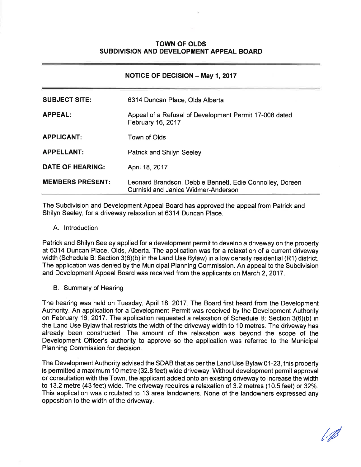## **TOWN OF OLDS** SUBDIVISION AND DEVELOPMENT APPEAL BOARD

## NOTICE OF DECISION - May 1, 2017

| <b>SUBJECT SITE:</b>    | 6314 Duncan Place, Olds Alberta                                                                 |
|-------------------------|-------------------------------------------------------------------------------------------------|
| <b>APPEAL:</b>          | Appeal of a Refusal of Development Permit 17-008 dated<br>February 16, 2017                     |
| <b>APPLICANT:</b>       | Town of Olds                                                                                    |
| <b>APPELLANT:</b>       | <b>Patrick and Shilyn Seeley</b>                                                                |
| <b>DATE OF HEARING:</b> | April 18, 2017                                                                                  |
| <b>MEMBERS PRESENT:</b> | Leonard Brandson, Debbie Bennett, Edie Connolley, Doreen<br>Curniski and Janice Widmer-Anderson |

The Subdivision and Development Appeal Board has approved the appeal from Patrick and Shilyn Seeley, for a driveway relaxation at 6314 Duncan Place.

A. lntroduction

Patrick and Shilyn Seeley applied for a development permit to develop a driveway on the property at 6314 Duncan Place, Olds, Alberta. The application was for a relaxation of a current driveway width (Schedule B: Section  $3(6)(b)$  in the Land Use Bylaw) in a low density residential (R1) district. The application was denied by the Municipal Planning Commission. An appeal to the Subdivision and Development Appeal Board was received from the applicants on March 2, 2017.

B. Summary of Hearing

The hearing was held on Tuesday, April 18, 2017. The Board first heard from the Development Authority. An application for a Development Permit was received by the Development Authority on February 16,2017. The application requested a relaxation of Schedule B: Section 3(6)(b) in the Land Use Bylaw that restricts the width of the driveway width to 10 metres. The driveway has already been constructed. The amount of the relaxation was beyond the scope of the Development Officer's authority to approve so the application was referred to the Municipal Planning Commission for decision.

The Development Authority advised the SDAB that as per the Land Use Bylaw 01-23, this property is permitted a maximum 10 metre (32.8 feet) wide driveway. Without development permit approval or consultation with the Town, the applicant added onto an existing driveway to increase the width to 13.2 metre (43 feet) wide. The driveway requires a relaxation of 3.2 metres (10.5 feet) or 32%. This application was circulated to 13 area landowners. None of the landowners expressed any opposition to the width of the driveway.

/ø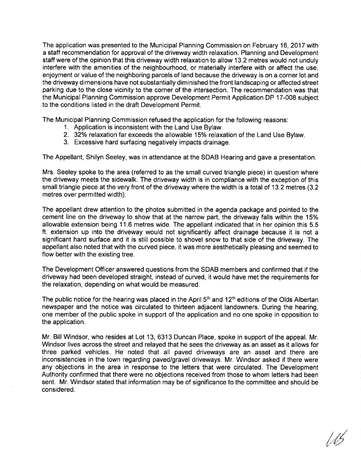The application was presented to the Municipal Planning Commission on February 16,2017 with a staff recommendation for approval of the driveway width relaxation. Planning and Development staff were of the opinion that this driveway width relaxation to allow 13.2 metres would not unduly interfere with the amenities of the neighbourhood, or materially interfere with or affect the use, enjoyment or value of the neighboring parcels of land because the driveway is on a corner lot and the driveway dimensions have not substantially diminished the front landscaping or affected street parking due to the close vicinity to the corner of the intersection. The recommendation was that the Municipal Planning Commission approve Development Permit Application DP 17-008 subject to the conditions listed in the draft Development Permit.

The Municipal Planning Commission refused the application for the following reasons:

- 1. Application is inconsistent with the Land Use Bylaw.
- 2. 32% relaxation far exceeds the allowable 15% relaxation of the Land Use Bylaw.
- 3. Excessive hard surfacing negatively impacts drainage.

The Appellant, Shilyn Seeley, was in attendance at the SDAB Hearing and gave a presentation.

Mrs. Seeley spoke to the area (referred to as the small curved triangle piece) in question where the driveway meets the sidewalk. The driveway width is in compliance with the exception of this small triangle piece at the very front of the driveway where the width is a total of 13.2 metres (3.2 metres over permitted width).

The appellant drew attention to the photos submitted in the agenda package and pointed to the cement line on the driveway to show that at the narrow part, the driveway falls within the 15% allowable extension being 11.6 metres wide. The appellant indicated that in her opinion this 5.5 ft. extension up into the driveway would not significantly affect drainage because it is not a significant hard surface and it is still possible to shovel snow to that side of the driveway. The appellant also noted that with the curved piece, it was more aesthetically pleasing and seemed to flow better with the existing tree.

The Development Officer answered questions from the SDAB members and confirmed that if the driveway had been developed straight, instead of curved, it would have met the requirements for the relaxation, depending on what would be measured.

The public notice for the hearing was placed in the April  $5<sup>th</sup>$  and  $12<sup>th</sup>$  editions of the Olds Albertan newspaper and the notice was circulated to thirteen adjacent landowners. During the hearing, one member of the public spoke in support of the application and no one spoke in opposition to the application.

Mr. Bill Windsor, who resides at Lot 13,6313 Duncan Place, spoke in support of the appeal. Mr. Windsor lives across the street and relayed that he sees the driveway as an asset as it allows for three parked vehicles. He noted that all paved driveways are an asset and there are inconsistencies in the town regarding paved/gravel driveways. Mr. Windsor asked if there were any objections in the area in response to the letters that were circulated. The Development Authority confirmed that there were no objections received from those to whom letters had been sent. Mr. Windsor stated that information may be of significance to the committee and should be considered.

115